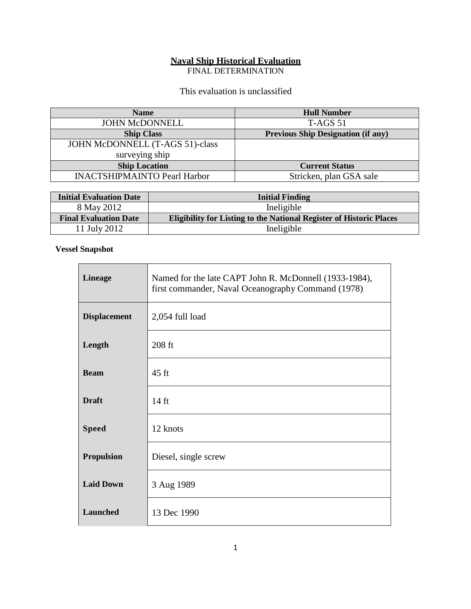# **Naval Ship Historical Evaluation**

FINAL DETERMINATION

This evaluation is unclassified

| <b>Name</b>                         | <b>Hull Number</b>                        |
|-------------------------------------|-------------------------------------------|
| <b>JOHN McDONNELL</b>               | $T-AGS$ 51                                |
| <b>Ship Class</b>                   | <b>Previous Ship Designation (if any)</b> |
| JOHN McDONNELL (T-AGS 51)-class     |                                           |
| surveying ship                      |                                           |
| <b>Ship Location</b>                | <b>Current Status</b>                     |
| <b>INACTSHIPMAINTO Pearl Harbor</b> | Stricken, plan GSA sale                   |

| <b>Initial Evaluation Date</b> | <b>Initial Finding</b>                                                     |
|--------------------------------|----------------------------------------------------------------------------|
| 8 May 2012                     | Ineligible                                                                 |
| <b>Final Evaluation Date</b>   | <b>Eligibility for Listing to the National Register of Historic Places</b> |
| 11 July 2012                   | Ineligible                                                                 |

### **Vessel Snapshot**

| <b>Lineage</b>      | Named for the late CAPT John R. McDonnell (1933-1984),<br>first commander, Naval Oceanography Command (1978) |
|---------------------|--------------------------------------------------------------------------------------------------------------|
| <b>Displacement</b> | 2,054 full load                                                                                              |
| Length              | 208 ft                                                                                                       |
| <b>Beam</b>         | $45$ ft                                                                                                      |
| <b>Draft</b>        | $14 \text{ ft}$                                                                                              |
| <b>Speed</b>        | 12 knots                                                                                                     |
| <b>Propulsion</b>   | Diesel, single screw                                                                                         |
| <b>Laid Down</b>    | 3 Aug 1989                                                                                                   |
| <b>Launched</b>     | 13 Dec 1990                                                                                                  |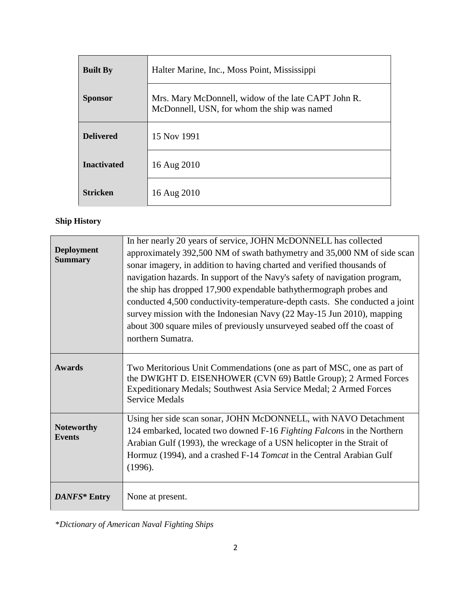| <b>Built By</b>    | Halter Marine, Inc., Moss Point, Mississippi                                                       |
|--------------------|----------------------------------------------------------------------------------------------------|
| <b>Sponsor</b>     | Mrs. Mary McDonnell, widow of the late CAPT John R.<br>McDonnell, USN, for whom the ship was named |
| <b>Delivered</b>   | 15 Nov 1991                                                                                        |
| <b>Inactivated</b> | 16 Aug 2010                                                                                        |
| <b>Stricken</b>    | 16 Aug 2010                                                                                        |

# **Ship History**

| <b>Deployment</b><br><b>Summary</b> | In her nearly 20 years of service, JOHN McDONNELL has collected<br>approximately 392,500 NM of swath bathymetry and 35,000 NM of side scan<br>sonar imagery, in addition to having charted and verified thousands of<br>navigation hazards. In support of the Navy's safety of navigation program,<br>the ship has dropped 17,900 expendable bathythermograph probes and<br>conducted 4,500 conductivity-temperature-depth casts. She conducted a joint<br>survey mission with the Indonesian Navy (22 May-15 Jun 2010), mapping<br>about 300 square miles of previously unsurveyed seabed off the coast of<br>northern Sumatra. |
|-------------------------------------|----------------------------------------------------------------------------------------------------------------------------------------------------------------------------------------------------------------------------------------------------------------------------------------------------------------------------------------------------------------------------------------------------------------------------------------------------------------------------------------------------------------------------------------------------------------------------------------------------------------------------------|
| <b>Awards</b>                       | Two Meritorious Unit Commendations (one as part of MSC, one as part of<br>the DWIGHT D. EISENHOWER (CVN 69) Battle Group); 2 Armed Forces<br>Expeditionary Medals; Southwest Asia Service Medal; 2 Armed Forces<br><b>Service Medals</b>                                                                                                                                                                                                                                                                                                                                                                                         |
| <b>Noteworthy</b><br><b>Events</b>  | Using her side scan sonar, JOHN McDONNELL, with NAVO Detachment<br>124 embarked, located two downed F-16 Fighting Falcons in the Northern<br>Arabian Gulf (1993), the wreckage of a USN helicopter in the Strait of<br>Hormuz (1994), and a crashed F-14 <i>Tomcat</i> in the Central Arabian Gulf<br>(1996).                                                                                                                                                                                                                                                                                                                    |
| DANFS* Entry                        | None at present.                                                                                                                                                                                                                                                                                                                                                                                                                                                                                                                                                                                                                 |

\**Dictionary of American Naval Fighting Ships*